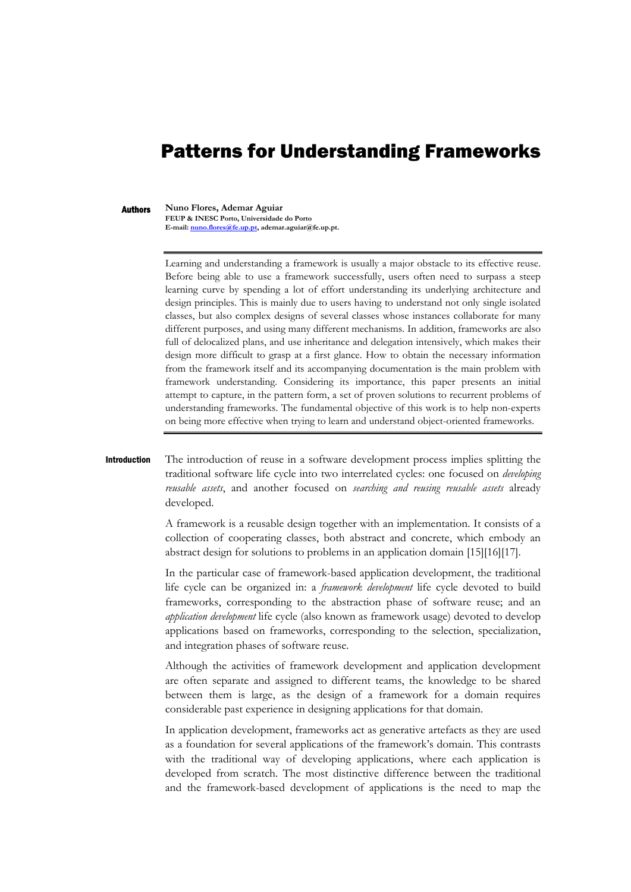## Patterns for Understanding Frameworks

**Nuno Flores, Ademar Aguiar FEUP & INESC Porto, Universidade do Porto E-mail: nuno.flores@fe.up.pt, ademar.aguiar@fe.up.pt.**  Authors

> Learning and understanding a framework is usually a major obstacle to its effective reuse. Before being able to use a framework successfully, users often need to surpass a steep learning curve by spending a lot of effort understanding its underlying architecture and design principles. This is mainly due to users having to understand not only single isolated classes, but also complex designs of several classes whose instances collaborate for many different purposes, and using many different mechanisms. In addition, frameworks are also full of delocalized plans, and use inheritance and delegation intensively, which makes their design more difficult to grasp at a first glance. How to obtain the necessary information from the framework itself and its accompanying documentation is the main problem with framework understanding. Considering its importance, this paper presents an initial attempt to capture, in the pattern form, a set of proven solutions to recurrent problems of understanding frameworks. The fundamental objective of this work is to help non-experts on being more effective when trying to learn and understand object-oriented frameworks.

#### The introduction of reuse in a software development process implies splitting the traditional software life cycle into two interrelated cycles: one focused on *developing reusable assets*, and another focused on *searching and reusing reusable assets* already developed. Introduction

A framework is a reusable design together with an implementation. It consists of a collection of cooperating classes, both abstract and concrete, which embody an abstract design for solutions to problems in an application domain [15][16][17].

In the particular case of framework-based application development, the traditional life cycle can be organized in: a *framework development* life cycle devoted to build frameworks, corresponding to the abstraction phase of software reuse; and an *application development* life cycle (also known as framework usage) devoted to develop applications based on frameworks, corresponding to the selection, specialization, and integration phases of software reuse.

Although the activities of framework development and application development are often separate and assigned to different teams, the knowledge to be shared between them is large, as the design of a framework for a domain requires considerable past experience in designing applications for that domain.

In application development, frameworks act as generative artefacts as they are used as a foundation for several applications of the framework's domain. This contrasts with the traditional way of developing applications, where each application is developed from scratch. The most distinctive difference between the traditional and the framework-based development of applications is the need to map the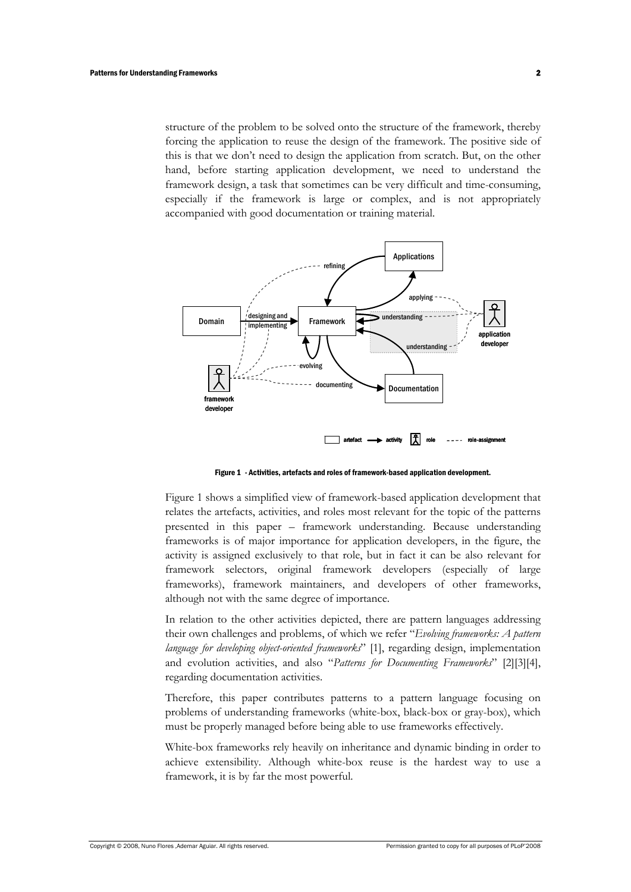structure of the problem to be solved onto the structure of the framework, thereby forcing the application to reuse the design of the framework. The positive side of this is that we don't need to design the application from scratch. But, on the other hand, before starting application development, we need to understand the framework design, a task that sometimes can be very difficult and time-consuming, especially if the framework is large or complex, and is not appropriately accompanied with good documentation or training material.



Figure 1 - Activities, artefacts and roles of framework-based application development.

Figure 1 shows a simplified view of framework-based application development that relates the artefacts, activities, and roles most relevant for the topic of the patterns presented in this paper – framework understanding. Because understanding frameworks is of major importance for application developers, in the figure, the activity is assigned exclusively to that role, but in fact it can be also relevant for framework selectors, original framework developers (especially of large frameworks), framework maintainers, and developers of other frameworks, although not with the same degree of importance.

In relation to the other activities depicted, there are pattern languages addressing their own challenges and problems, of which we refer "*Evolving frameworks: A pattern language for developing object-oriented frameworks*" [1], regarding design, implementation and evolution activities, and also "*Patterns for Documenting Frameworks*" [2][3][4], regarding documentation activities.

Therefore, this paper contributes patterns to a pattern language focusing on problems of understanding frameworks (white-box, black-box or gray-box), which must be properly managed before being able to use frameworks effectively.

White-box frameworks rely heavily on inheritance and dynamic binding in order to achieve extensibility. Although white-box reuse is the hardest way to use a framework, it is by far the most powerful.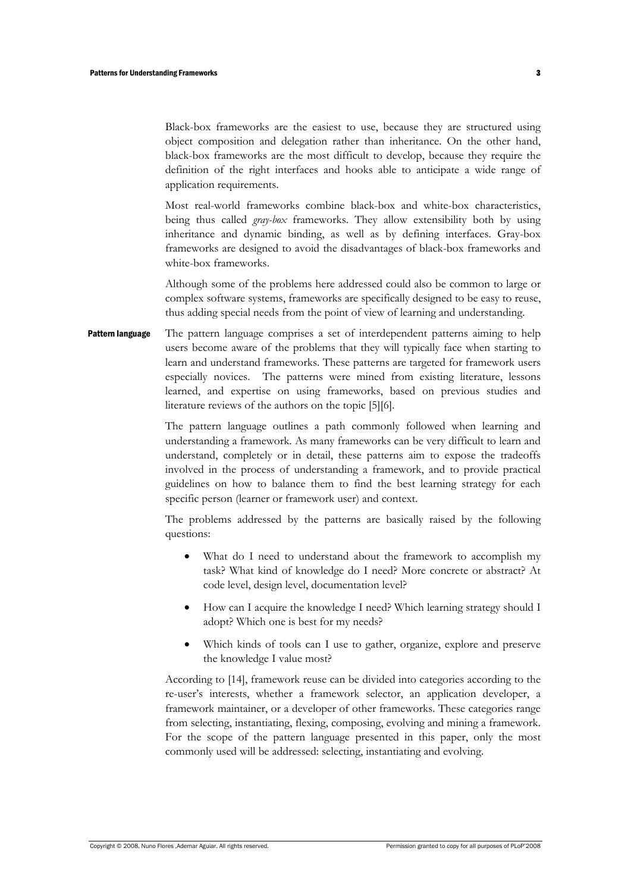Black-box frameworks are the easiest to use, because they are structured using object composition and delegation rather than inheritance. On the other hand, black-box frameworks are the most difficult to develop, because they require the definition of the right interfaces and hooks able to anticipate a wide range of application requirements.

Most real-world frameworks combine black-box and white-box characteristics, being thus called *gray-box* frameworks. They allow extensibility both by using inheritance and dynamic binding, as well as by defining interfaces. Gray-box frameworks are designed to avoid the disadvantages of black-box frameworks and white-box frameworks.

Although some of the problems here addressed could also be common to large or complex software systems, frameworks are specifically designed to be easy to reuse, thus adding special needs from the point of view of learning and understanding.

The pattern language comprises a set of interdependent patterns aiming to help users become aware of the problems that they will typically face when starting to learn and understand frameworks. These patterns are targeted for framework users especially novices. The patterns were mined from existing literature, lessons learned, and expertise on using frameworks, based on previous studies and literature reviews of the authors on the topic [5][6]. Pattern language

> The pattern language outlines a path commonly followed when learning and understanding a framework. As many frameworks can be very difficult to learn and understand, completely or in detail, these patterns aim to expose the tradeoffs involved in the process of understanding a framework, and to provide practical guidelines on how to balance them to find the best learning strategy for each specific person (learner or framework user) and context.

> The problems addressed by the patterns are basically raised by the following questions:

- What do I need to understand about the framework to accomplish my task? What kind of knowledge do I need? More concrete or abstract? At code level, design level, documentation level?
- How can I acquire the knowledge I need? Which learning strategy should I adopt? Which one is best for my needs?
- Which kinds of tools can I use to gather, organize, explore and preserve the knowledge I value most?

According to [14], framework reuse can be divided into categories according to the re-user's interests, whether a framework selector, an application developer, a framework maintainer, or a developer of other frameworks. These categories range from selecting, instantiating, flexing, composing, evolving and mining a framework. For the scope of the pattern language presented in this paper, only the most commonly used will be addressed: selecting, instantiating and evolving.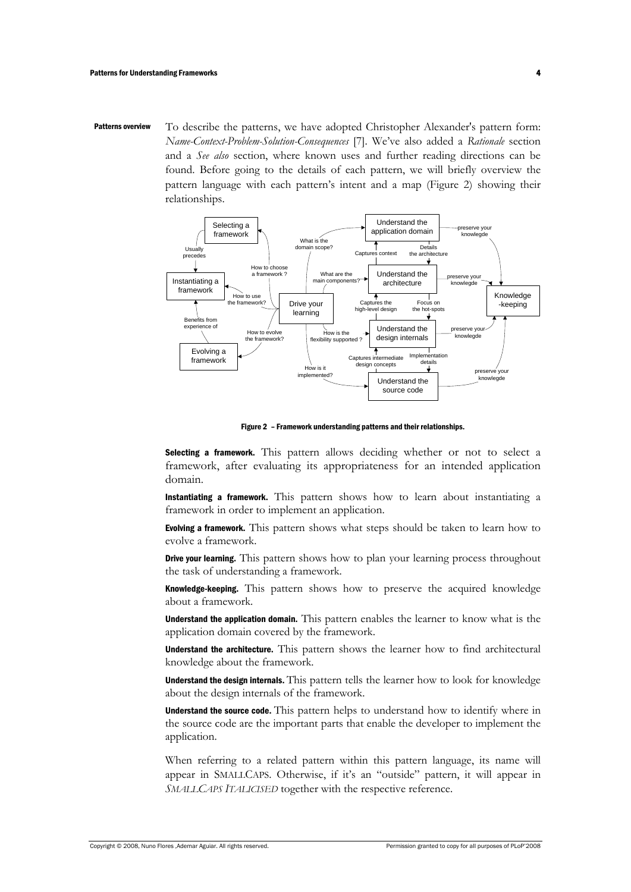To describe the patterns, we have adopted Christopher Alexander's pattern form: *Name-Context-Problem-Solution-Consequences* [7]. We've also added a *Rationale* section and a *See also* section, where known uses and further reading directions can be found. Before going to the details of each pattern, we will briefly overview the pattern language with each pattern's intent and a map (Figure 2) showing their relationships. Patterns overview



Figure 2 – Framework understanding patterns and their relationships.

Selecting a framework. This pattern allows deciding whether or not to select a framework, after evaluating its appropriateness for an intended application domain.

Instantiating a framework. This pattern shows how to learn about instantiating a framework in order to implement an application.

Evolving a framework. This pattern shows what steps should be taken to learn how to evolve a framework.

**Drive your learning.** This pattern shows how to plan your learning process throughout the task of understanding a framework.

Knowledge-keeping. This pattern shows how to preserve the acquired knowledge about a framework.

Understand the application domain. This pattern enables the learner to know what is the application domain covered by the framework.

Understand the architecture. This pattern shows the learner how to find architectural knowledge about the framework.

Understand the design internals. This pattern tells the learner how to look for knowledge about the design internals of the framework.

Understand the source code. This pattern helps to understand how to identify where in the source code are the important parts that enable the developer to implement the application.

When referring to a related pattern within this pattern language, its name will appear in SMALLCAPS. Otherwise, if it's an "outside" pattern, it will appear in *SMALLCAPS ITALICISED* together with the respective reference.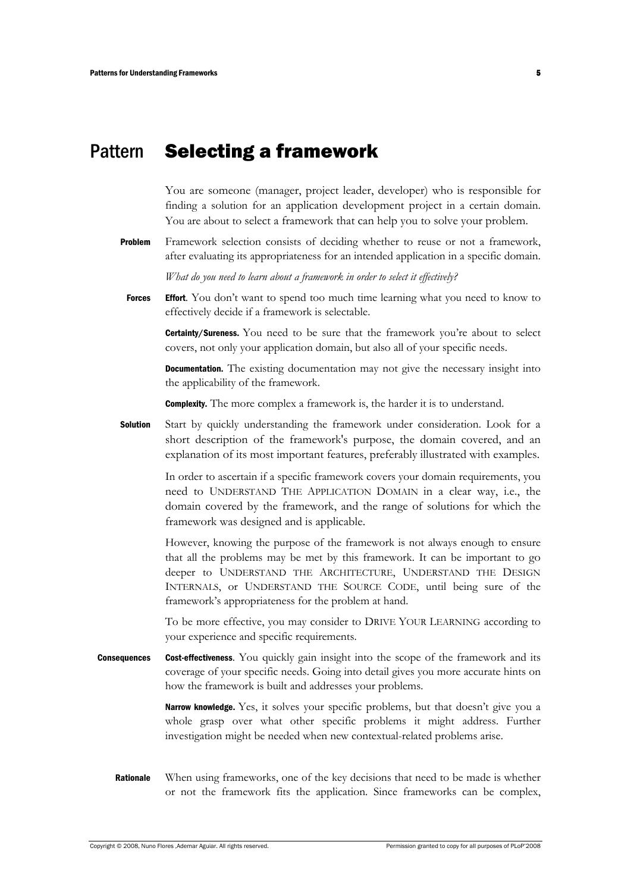# Pattern Selecting a framework

You are someone (manager, project leader, developer) who is responsible for finding a solution for an application development project in a certain domain. You are about to select a framework that can help you to solve your problem.

Framework selection consists of deciding whether to reuse or not a framework, after evaluating its appropriateness for an intended application in a specific domain. Problem

*What do you need to learn about a framework in order to select it effectively?* 

**Effort.** You don't want to spend too much time learning what you need to know to effectively decide if a framework is selectable. Forces

Certainty/Sureness. You need to be sure that the framework you're about to select covers, not only your application domain, but also all of your specific needs.

Documentation. The existing documentation may not give the necessary insight into the applicability of the framework.

Complexity. The more complex a framework is, the harder it is to understand.

Start by quickly understanding the framework under consideration. Look for a short description of the framework's purpose, the domain covered, and an explanation of its most important features, preferably illustrated with examples. Solution

> In order to ascertain if a specific framework covers your domain requirements, you need to UNDERSTAND THE APPLICATION DOMAIN in a clear way, i.e., the domain covered by the framework, and the range of solutions for which the framework was designed and is applicable.

> However, knowing the purpose of the framework is not always enough to ensure that all the problems may be met by this framework. It can be important to go deeper to UNDERSTAND THE ARCHITECTURE, UNDERSTAND THE DESIGN INTERNALS, or UNDERSTAND THE SOURCE CODE, until being sure of the framework's appropriateness for the problem at hand.

> To be more effective, you may consider to DRIVE YOUR LEARNING according to your experience and specific requirements.

Cost-effectiveness. You quickly gain insight into the scope of the framework and its coverage of your specific needs. Going into detail gives you more accurate hints on how the framework is built and addresses your problems. **Consequences** 

> Narrow knowledge. Yes, it solves your specific problems, but that doesn't give you a whole grasp over what other specific problems it might address. Further investigation might be needed when new contextual-related problems arise.

When using frameworks, one of the key decisions that need to be made is whether or not the framework fits the application. Since frameworks can be complex, Rationale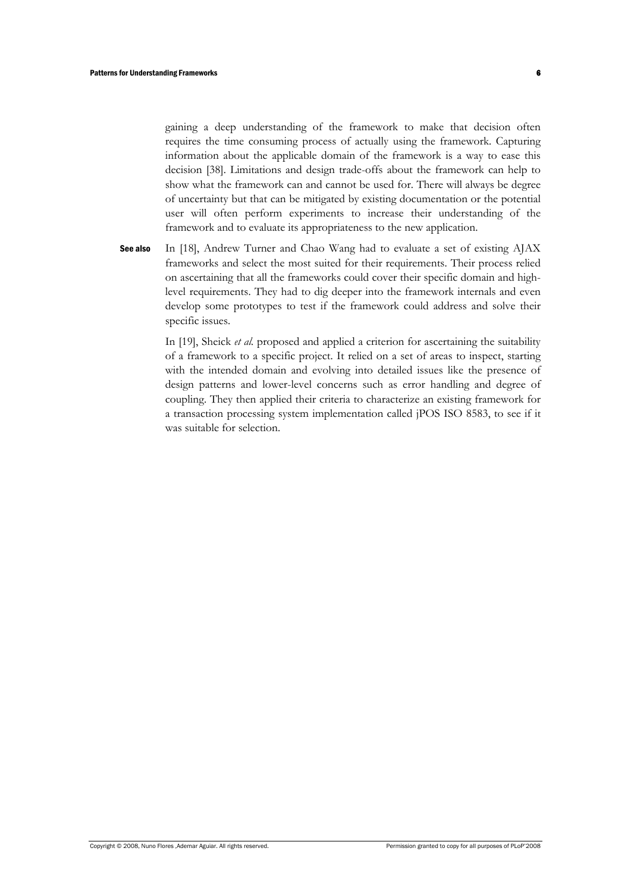gaining a deep understanding of the framework to make that decision often requires the time consuming process of actually using the framework. Capturing information about the applicable domain of the framework is a way to ease this decision [38]. Limitations and design trade-offs about the framework can help to show what the framework can and cannot be used for. There will always be degree of uncertainty but that can be mitigated by existing documentation or the potential user will often perform experiments to increase their understanding of the framework and to evaluate its appropriateness to the new application.

In [18], Andrew Turner and Chao Wang had to evaluate a set of existing AJAX frameworks and select the most suited for their requirements. Their process relied on ascertaining that all the frameworks could cover their specific domain and highlevel requirements. They had to dig deeper into the framework internals and even develop some prototypes to test if the framework could address and solve their specific issues. See also

> In [19], Sheick *et al.* proposed and applied a criterion for ascertaining the suitability of a framework to a specific project. It relied on a set of areas to inspect, starting with the intended domain and evolving into detailed issues like the presence of design patterns and lower-level concerns such as error handling and degree of coupling. They then applied their criteria to characterize an existing framework for a transaction processing system implementation called jPOS ISO 8583, to see if it was suitable for selection.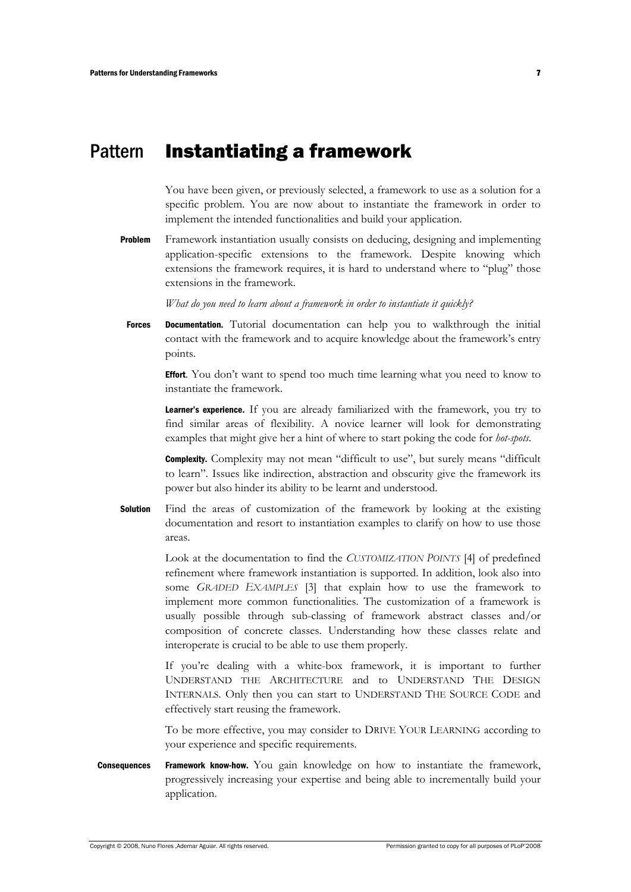## Pattern Instantiating a framework

You have been given, or previously selected, a framework to use as a solution for a specific problem. You are now about to instantiate the framework in order to implement the intended functionalities and build your application.

Framework instantiation usually consists on deducing, designing and implementing application-specific extensions to the framework. Despite knowing which extensions the framework requires, it is hard to understand where to "plug" those extensions in the framework. Problem

*What do you need to learn about a framework in order to instantiate it quickly?* 

Documentation. Tutorial documentation can help you to walkthrough the initial contact with the framework and to acquire knowledge about the framework's entry points. Forces

**Effort.** You don't want to spend too much time learning what you need to know to instantiate the framework.

Learner's experience. If you are already familiarized with the framework, you try to find similar areas of flexibility. A novice learner will look for demonstrating examples that might give her a hint of where to start poking the code for *hot-spots*.

Complexity. Complexity may not mean "difficult to use", but surely means "difficult to learn". Issues like indirection, abstraction and obscurity give the framework its power but also hinder its ability to be learnt and understood.

Find the areas of customization of the framework by looking at the existing documentation and resort to instantiation examples to clarify on how to use those areas. Solution

> Look at the documentation to find the *CUSTOMIZATION POINTS* [4] of predefined refinement where framework instantiation is supported. In addition, look also into some *GRADED EXAMPLES* [3] that explain how to use the framework to implement more common functionalities. The customization of a framework is usually possible through sub-classing of framework abstract classes and/or composition of concrete classes. Understanding how these classes relate and interoperate is crucial to be able to use them properly.

> If you're dealing with a white-box framework, it is important to further UNDERSTAND THE ARCHITECTURE and to UNDERSTAND THE DESIGN INTERNALS. Only then you can start to UNDERSTAND THE SOURCE CODE and effectively start reusing the framework.

> To be more effective, you may consider to DRIVE YOUR LEARNING according to your experience and specific requirements.

Framework know-how. You gain knowledge on how to instantiate the framework, progressively increasing your expertise and being able to incrementally build your application. **Consequences**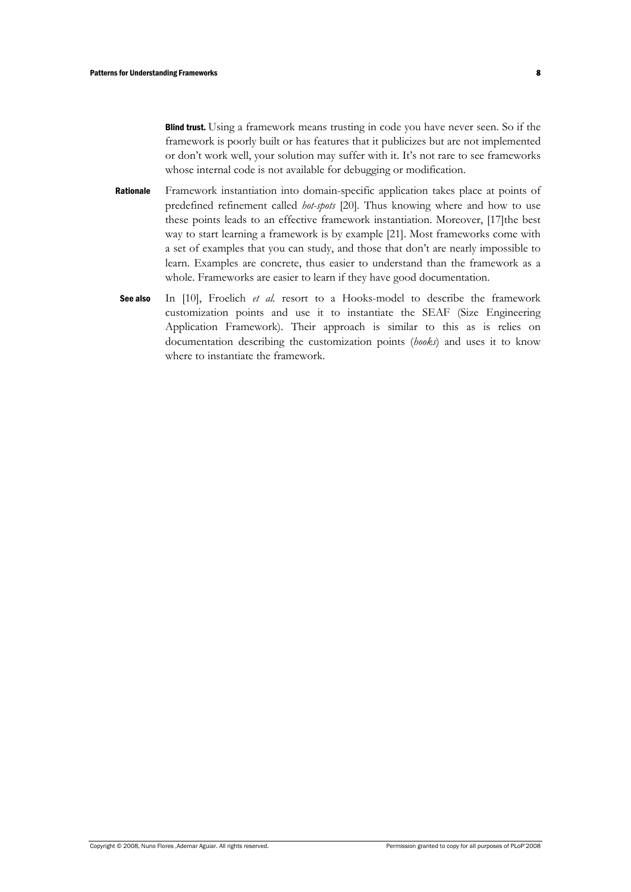Blind trust. Using a framework means trusting in code you have never seen. So if the framework is poorly built or has features that it publicizes but are not implemented or don't work well, your solution may suffer with it. It's not rare to see frameworks whose internal code is not available for debugging or modification.

- Framework instantiation into domain-specific application takes place at points of predefined refinement called *hot-spots* [20]*.* Thus knowing where and how to use these points leads to an effective framework instantiation. Moreover, [17]the best way to start learning a framework is by example [21]. Most frameworks come with a set of examples that you can study, and those that don't are nearly impossible to learn. Examples are concrete, thus easier to understand than the framework as a whole. Frameworks are easier to learn if they have good documentation. Rationale
- In [10], Froelich *et al.* resort to a Hooks-model to describe the framework customization points and use it to instantiate the SEAF (Size Engineering Application Framework). Their approach is similar to this as is relies on documentation describing the customization points (*hooks*) and uses it to know where to instantiate the framework. See also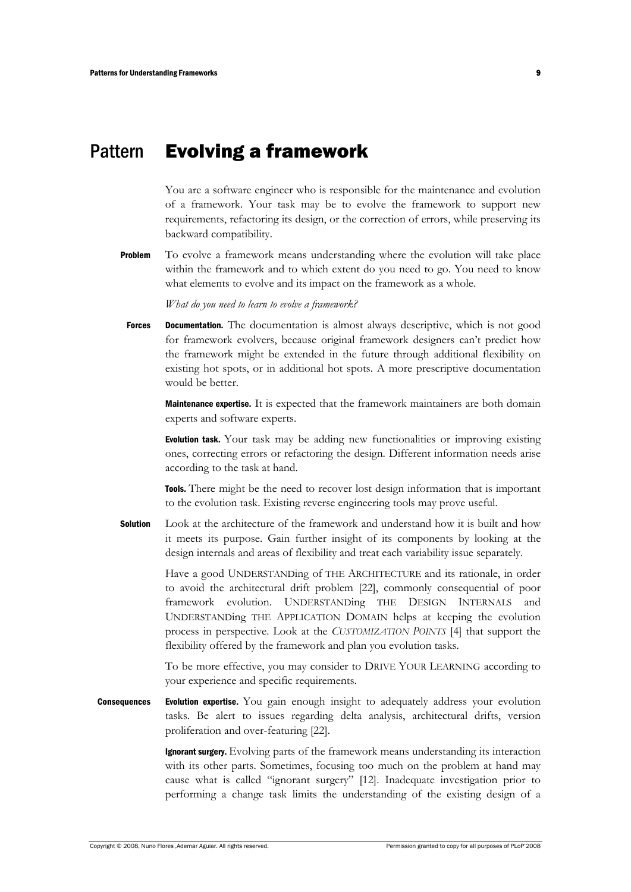# Pattern **Evolving a framework**

You are a software engineer who is responsible for the maintenance and evolution of a framework. Your task may be to evolve the framework to support new requirements, refactoring its design, or the correction of errors, while preserving its backward compatibility.

To evolve a framework means understanding where the evolution will take place within the framework and to which extent do you need to go. You need to know what elements to evolve and its impact on the framework as a whole. Problem

*What do you need to learn to evolve a framework?* 

Documentation. The documentation is almost always descriptive, which is not good for framework evolvers, because original framework designers can't predict how the framework might be extended in the future through additional flexibility on existing hot spots, or in additional hot spots. A more prescriptive documentation would be better. Forces

Maintenance expertise. It is expected that the framework maintainers are both domain experts and software experts.

Evolution task. Your task may be adding new functionalities or improving existing ones, correcting errors or refactoring the design. Different information needs arise according to the task at hand.

Tools. There might be the need to recover lost design information that is important to the evolution task. Existing reverse engineering tools may prove useful.

Look at the architecture of the framework and understand how it is built and how it meets its purpose. Gain further insight of its components by looking at the design internals and areas of flexibility and treat each variability issue separately. Solution

> Have a good UNDERSTANDing of THE ARCHITECTURE and its rationale, in order to avoid the architectural drift problem [22], commonly consequential of poor framework evolution. UNDERSTANDing THE DESIGN INTERNALS and UNDERSTANDing THE APPLICATION DOMAIN helps at keeping the evolution process in perspective. Look at the *CUSTOMIZATION POINTS* [4] that support the flexibility offered by the framework and plan you evolution tasks.

> To be more effective, you may consider to DRIVE YOUR LEARNING according to your experience and specific requirements.

Evolution expertise. You gain enough insight to adequately address your evolution tasks. Be alert to issues regarding delta analysis, architectural drifts, version proliferation and over-featuring [22]. **Consequences** 

> Ignorant surgery. Evolving parts of the framework means understanding its interaction with its other parts. Sometimes, focusing too much on the problem at hand may cause what is called "ignorant surgery" [12]. Inadequate investigation prior to performing a change task limits the understanding of the existing design of a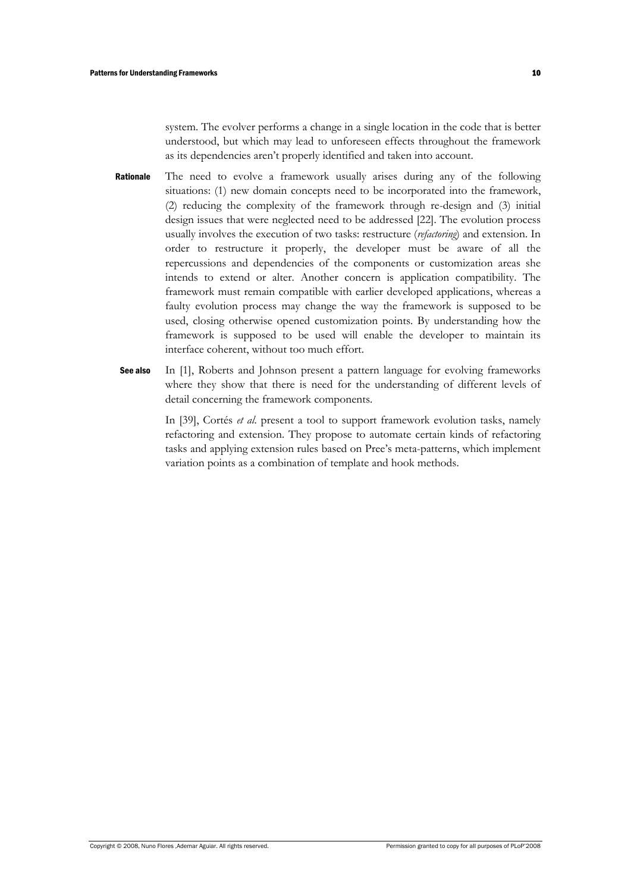system. The evolver performs a change in a single location in the code that is better understood, but which may lead to unforeseen effects throughout the framework as its dependencies aren't properly identified and taken into account.

- The need to evolve a framework usually arises during any of the following situations: (1) new domain concepts need to be incorporated into the framework, (2) reducing the complexity of the framework through re-design and (3) initial design issues that were neglected need to be addressed [22]. The evolution process usually involves the execution of two tasks: restructure (*refactoring*) and extension. In order to restructure it properly, the developer must be aware of all the repercussions and dependencies of the components or customization areas she intends to extend or alter. Another concern is application compatibility. The framework must remain compatible with earlier developed applications, whereas a faulty evolution process may change the way the framework is supposed to be used, closing otherwise opened customization points. By understanding how the framework is supposed to be used will enable the developer to maintain its interface coherent, without too much effort. Rationale
- In [1], Roberts and Johnson present a pattern language for evolving frameworks where they show that there is need for the understanding of different levels of detail concerning the framework components. See also

In [39], Cortés *et al*. present a tool to support framework evolution tasks, namely refactoring and extension. They propose to automate certain kinds of refactoring tasks and applying extension rules based on Pree's meta-patterns, which implement variation points as a combination of template and hook methods.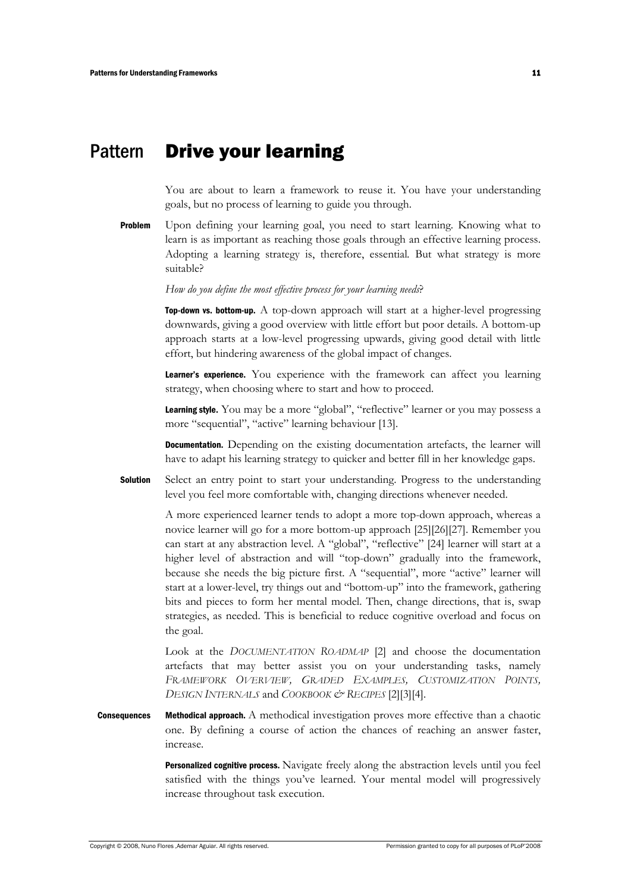## Pattern **Drive your learning**

You are about to learn a framework to reuse it. You have your understanding goals, but no process of learning to guide you through.

Upon defining your learning goal, you need to start learning. Knowing what to learn is as important as reaching those goals through an effective learning process. Adopting a learning strategy is, therefore, essential*.* But what strategy is more suitable? Problem

*How do you define the most effective process for your learning needs*?

Top-down vs. bottom-up. A top-down approach will start at a higher-level progressing downwards, giving a good overview with little effort but poor details. A bottom-up approach starts at a low-level progressing upwards, giving good detail with little effort, but hindering awareness of the global impact of changes.

Learner's experience. You experience with the framework can affect you learning strategy, when choosing where to start and how to proceed.

Learning style. You may be a more "global", "reflective" learner or you may possess a more "sequential", "active" learning behaviour [13].

Documentation. Depending on the existing documentation artefacts, the learner will have to adapt his learning strategy to quicker and better fill in her knowledge gaps.

Select an entry point to start your understanding. Progress to the understanding level you feel more comfortable with, changing directions whenever needed. Solution

> A more experienced learner tends to adopt a more top-down approach, whereas a novice learner will go for a more bottom-up approach [25][26][27]. Remember you can start at any abstraction level. A "global", "reflective" [24] learner will start at a higher level of abstraction and will "top-down" gradually into the framework, because she needs the big picture first. A "sequential", more "active" learner will start at a lower-level, try things out and "bottom-up" into the framework, gathering bits and pieces to form her mental model. Then, change directions, that is, swap strategies, as needed. This is beneficial to reduce cognitive overload and focus on the goal.

> Look at the *DOCUMENTATION ROADMAP* [2] and choose the documentation artefacts that may better assist you on your understanding tasks, namely *FRAMEWORK OVERVIEW, GRADED EXAMPLES, CUSTOMIZATION POINTS, DESIGN INTERNALS* and *COOKBOOK & RECIPES* [2][3][4].

Methodical approach. A methodical investigation proves more effective than a chaotic one. By defining a course of action the chances of reaching an answer faster, increase. **Consequences** 

> Personalized cognitive process. Navigate freely along the abstraction levels until you feel satisfied with the things you've learned. Your mental model will progressively increase throughout task execution.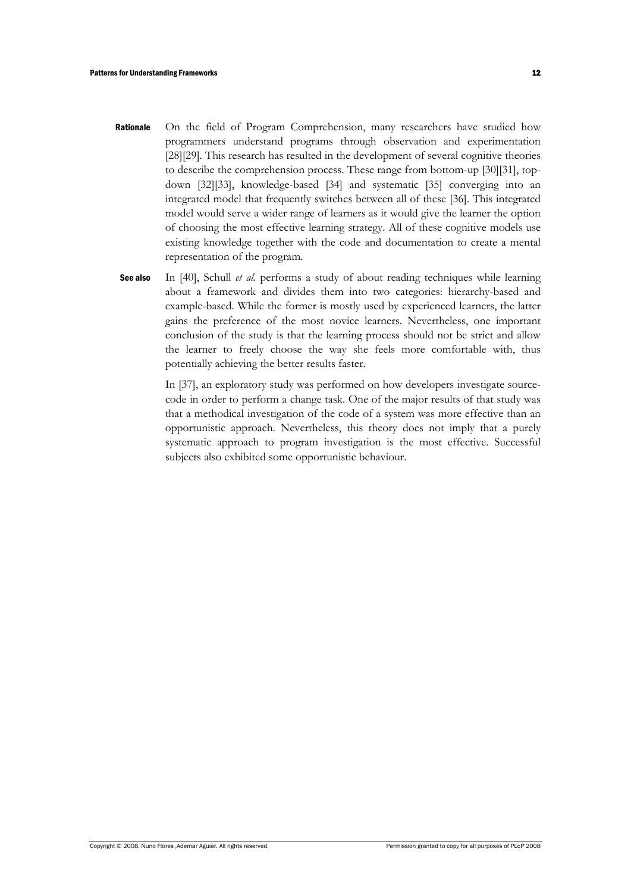- On the field of Program Comprehension, many researchers have studied how programmers understand programs through observation and experimentation [28][29]*.* This research has resulted in the development of several cognitive theories to describe the comprehension process. These range from bottom-up [30][31], topdown [32][33], knowledge-based [34] and systematic [35] converging into an integrated model that frequently switches between all of these [36]. This integrated model would serve a wider range of learners as it would give the learner the option of choosing the most effective learning strategy. All of these cognitive models use existing knowledge together with the code and documentation to create a mental representation of the program. Rationale
- In [40], Schull *et al.* performs a study of about reading techniques while learning about a framework and divides them into two categories: hierarchy-based and example-based. While the former is mostly used by experienced learners, the latter gains the preference of the most novice learners. Nevertheless, one important conclusion of the study is that the learning process should not be strict and allow the learner to freely choose the way she feels more comfortable with, thus potentially achieving the better results faster. See also

In [37], an exploratory study was performed on how developers investigate sourcecode in order to perform a change task. One of the major results of that study was that a methodical investigation of the code of a system was more effective than an opportunistic approach. Nevertheless, this theory does not imply that a purely systematic approach to program investigation is the most effective. Successful subjects also exhibited some opportunistic behaviour.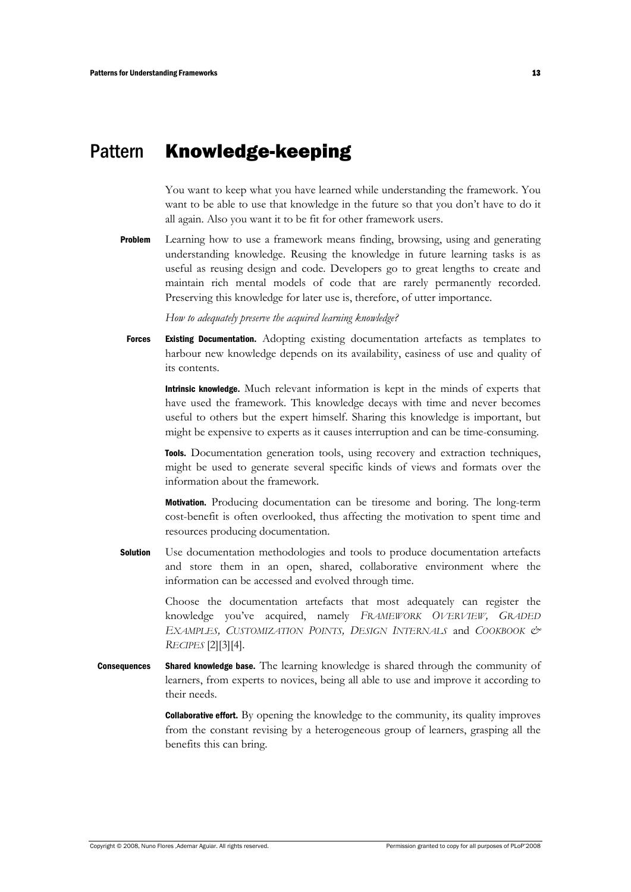## Pattern **Knowledge-keeping**

You want to keep what you have learned while understanding the framework. You want to be able to use that knowledge in the future so that you don't have to do it all again. Also you want it to be fit for other framework users.

Learning how to use a framework means finding, browsing, using and generating understanding knowledge. Reusing the knowledge in future learning tasks is as useful as reusing design and code. Developers go to great lengths to create and maintain rich mental models of code that are rarely permanently recorded. Preserving this knowledge for later use is, therefore, of utter importance. Problem

*How to adequately preserve the acquired learning knowledge?* 

Existing Documentation. Adopting existing documentation artefacts as templates to harbour new knowledge depends on its availability, easiness of use and quality of its contents. Forces

Intrinsic knowledge. Much relevant information is kept in the minds of experts that have used the framework. This knowledge decays with time and never becomes useful to others but the expert himself. Sharing this knowledge is important, but might be expensive to experts as it causes interruption and can be time-consuming.

Tools. Documentation generation tools, using recovery and extraction techniques, might be used to generate several specific kinds of views and formats over the information about the framework.

Motivation. Producing documentation can be tiresome and boring. The long-term cost-benefit is often overlooked, thus affecting the motivation to spent time and resources producing documentation.

Use documentation methodologies and tools to produce documentation artefacts and store them in an open, shared, collaborative environment where the information can be accessed and evolved through time. Solution

> Choose the documentation artefacts that most adequately can register the knowledge you've acquired, namely *FRAMEWORK OVERVIEW, GRADED EXAMPLES, CUSTOMIZATION POINTS, DESIGN INTERNALS* and *COOKBOOK & RECIPES* [2][3][4].

Shared knowledge base. The learning knowledge is shared through the community of learners, from experts to novices, being all able to use and improve it according to their needs. **Consequences** 

> **Collaborative effort.** By opening the knowledge to the community, its quality improves from the constant revising by a heterogeneous group of learners, grasping all the benefits this can bring.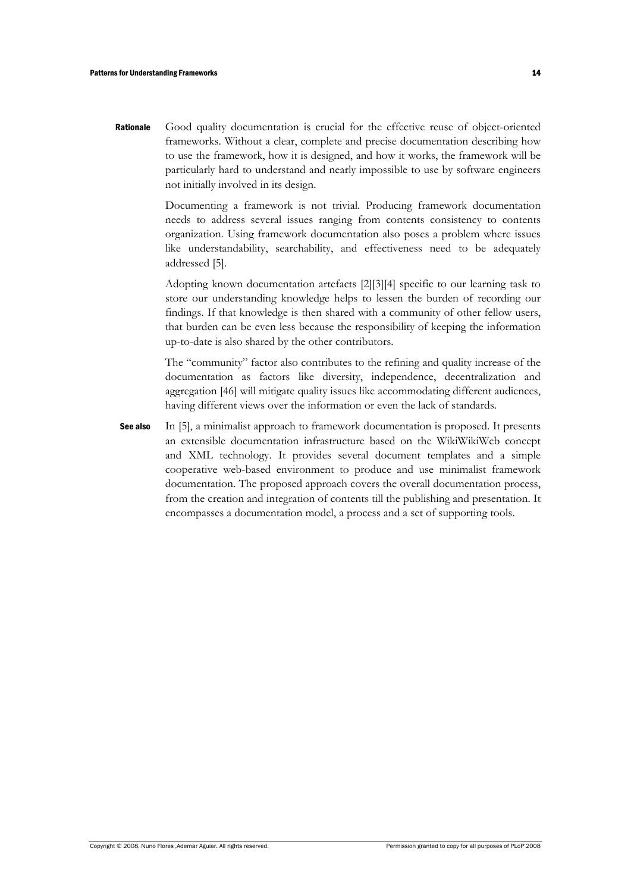Good quality documentation is crucial for the effective reuse of object-oriented frameworks. Without a clear, complete and precise documentation describing how to use the framework, how it is designed, and how it works, the framework will be particularly hard to understand and nearly impossible to use by software engineers not initially involved in its design. Rationale

> Documenting a framework is not trivial. Producing framework documentation needs to address several issues ranging from contents consistency to contents organization. Using framework documentation also poses a problem where issues like understandability, searchability, and effectiveness need to be adequately addressed [5].

> Adopting known documentation artefacts [2][3][4] specific to our learning task to store our understanding knowledge helps to lessen the burden of recording our findings. If that knowledge is then shared with a community of other fellow users, that burden can be even less because the responsibility of keeping the information up-to-date is also shared by the other contributors.

> The "community" factor also contributes to the refining and quality increase of the documentation as factors like diversity, independence, decentralization and aggregation [46] will mitigate quality issues like accommodating different audiences, having different views over the information or even the lack of standards.

In [5], a minimalist approach to framework documentation is proposed. It presents an extensible documentation infrastructure based on the WikiWikiWeb concept and XML technology. It provides several document templates and a simple cooperative web-based environment to produce and use minimalist framework documentation. The proposed approach covers the overall documentation process, from the creation and integration of contents till the publishing and presentation. It encompasses a documentation model, a process and a set of supporting tools. See also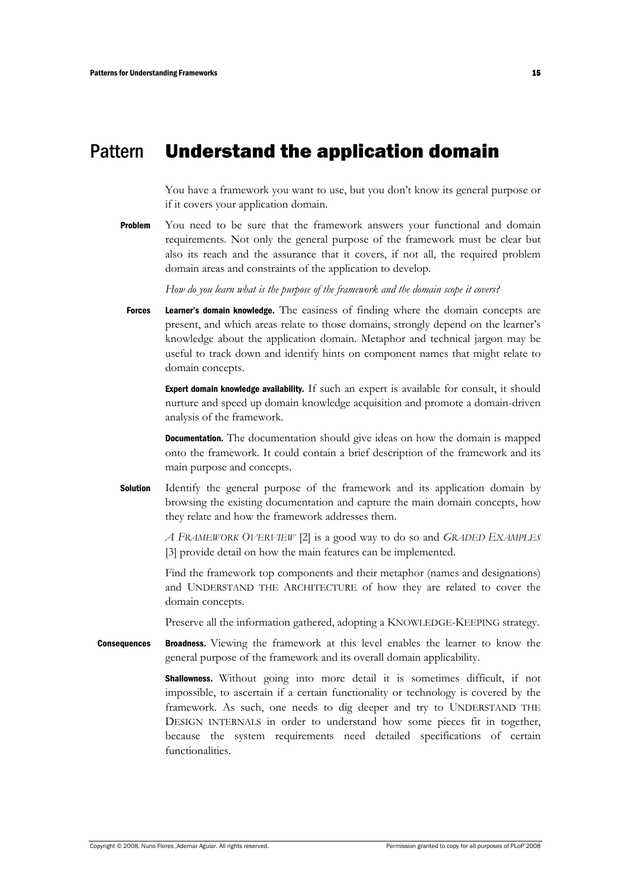## Pattern Understand the application domain

You have a framework you want to use, but you don't know its general purpose or if it covers your application domain.

You need to be sure that the framework answers your functional and domain requirements. Not only the general purpose of the framework must be clear but also its reach and the assurance that it covers, if not all, the required problem domain areas and constraints of the application to develop. Problem

*How do you learn what is the purpose of the framework and the domain scope it covers?*

Learner's domain knowledge. The easiness of finding where the domain concepts are present, and which areas relate to those domains, strongly depend on the learner's knowledge about the application domain. Metaphor and technical jargon may be useful to track down and identify hints on component names that might relate to domain concepts. Forces

Expert domain knowledge availability. If such an expert is available for consult, it should nurture and speed up domain knowledge acquisition and promote a domain-driven analysis of the framework.

Documentation. The documentation should give ideas on how the domain is mapped onto the framework. It could contain a brief description of the framework and its main purpose and concepts.

Identify the general purpose of the framework and its application domain by browsing the existing documentation and capture the main domain concepts, how they relate and how the framework addresses them. Solution

> *A FRAMEWORK OVERVIEW* [2] is a good way to do so and *GRADED EXAMPLES* [3] provide detail on how the main features can be implemented.

> Find the framework top components and their metaphor (names and designations) and UNDERSTAND THE ARCHITECTURE of how they are related to cover the domain concepts.

> Preserve all the information gathered, adopting a KNOWLEDGE-KEEPING strategy.

Broadness. Viewing the framework at this level enables the learner to know the general purpose of the framework and its overall domain applicability. **Consequences** 

> Shallowness. Without going into more detail it is sometimes difficult, if not impossible, to ascertain if a certain functionality or technology is covered by the framework. As such, one needs to dig deeper and try to UNDERSTAND THE DESIGN INTERNALS in order to understand how some pieces fit in together, because the system requirements need detailed specifications of certain functionalities.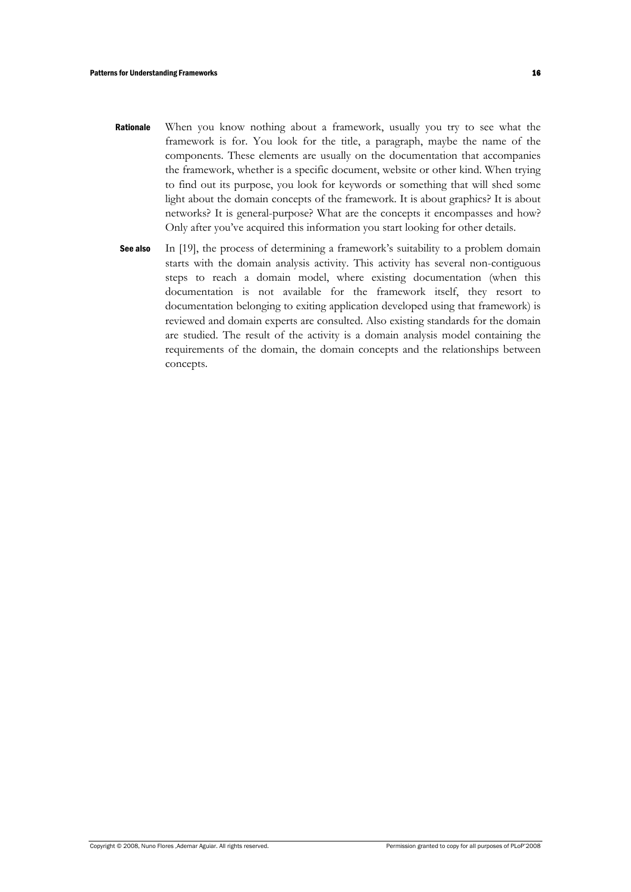- When you know nothing about a framework, usually you try to see what the framework is for. You look for the title, a paragraph, maybe the name of the components. These elements are usually on the documentation that accompanies the framework, whether is a specific document, website or other kind. When trying to find out its purpose, you look for keywords or something that will shed some light about the domain concepts of the framework. It is about graphics? It is about networks? It is general-purpose? What are the concepts it encompasses and how? Only after you've acquired this information you start looking for other details. Rationale
- In [19], the process of determining a framework's suitability to a problem domain starts with the domain analysis activity. This activity has several non-contiguous steps to reach a domain model, where existing documentation (when this documentation is not available for the framework itself, they resort to documentation belonging to exiting application developed using that framework) is reviewed and domain experts are consulted. Also existing standards for the domain are studied. The result of the activity is a domain analysis model containing the requirements of the domain, the domain concepts and the relationships between concepts. See also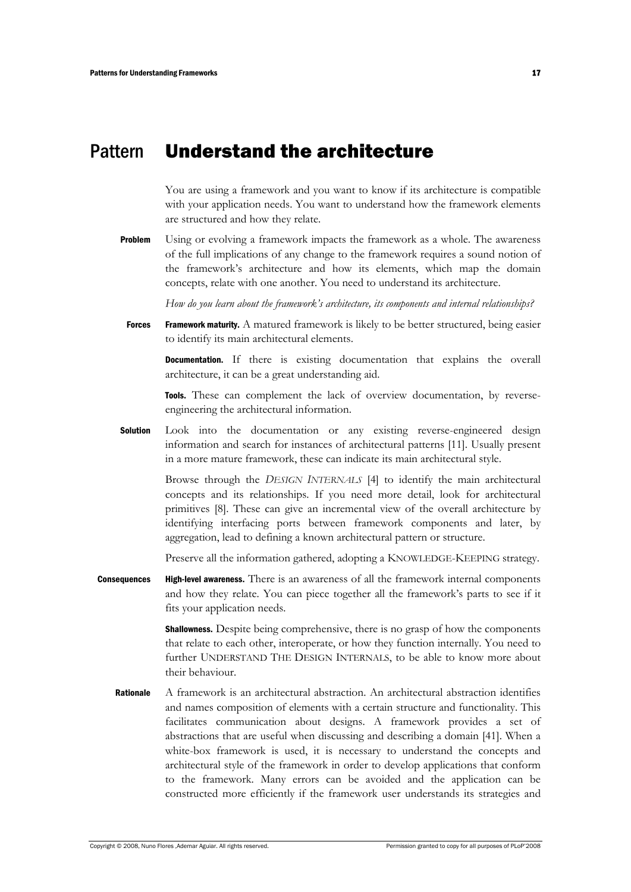## Pattern Understand the architecture

You are using a framework and you want to know if its architecture is compatible with your application needs. You want to understand how the framework elements are structured and how they relate.

Using or evolving a framework impacts the framework as a whole. The awareness of the full implications of any change to the framework requires a sound notion of the framework's architecture and how its elements, which map the domain concepts, relate with one another. You need to understand its architecture. Problem

*How do you learn about the framework's architecture, its components and internal relationships?* 

Framework maturity. A matured framework is likely to be better structured, being easier to identify its main architectural elements. Forces

Documentation. If there is existing documentation that explains the overall architecture, it can be a great understanding aid.

Tools. These can complement the lack of overview documentation, by reverseengineering the architectural information.

Look into the documentation or any existing reverse-engineered design information and search for instances of architectural patterns [11]. Usually present in a more mature framework, these can indicate its main architectural style. Solution

> Browse through the *DESIGN INTERNALS* [4] to identify the main architectural concepts and its relationships. If you need more detail, look for architectural primitives [8]. These can give an incremental view of the overall architecture by identifying interfacing ports between framework components and later, by aggregation, lead to defining a known architectural pattern or structure.

> Preserve all the information gathered, adopting a KNOWLEDGE-KEEPING strategy.

High-level awareness. There is an awareness of all the framework internal components and how they relate. You can piece together all the framework's parts to see if it fits your application needs. **Consequences** 

> Shallowness. Despite being comprehensive, there is no grasp of how the components that relate to each other, interoperate, or how they function internally. You need to further UNDERSTAND THE DESIGN INTERNALS, to be able to know more about their behaviour.

A framework is an architectural abstraction. An architectural abstraction identifies and names composition of elements with a certain structure and functionality. This facilitates communication about designs. A framework provides a set of abstractions that are useful when discussing and describing a domain [41]. When a white-box framework is used, it is necessary to understand the concepts and architectural style of the framework in order to develop applications that conform to the framework. Many errors can be avoided and the application can be constructed more efficiently if the framework user understands its strategies and Rationale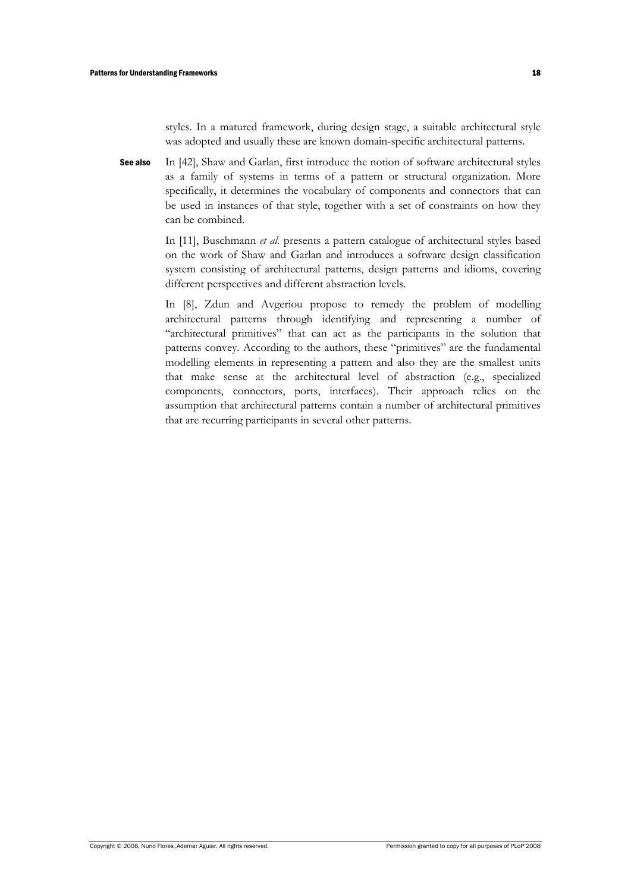styles. In a matured framework, during design stage, a suitable architectural style was adopted and usually these are known domain-specific architectural patterns.

In [42], Shaw and Garlan, first introduce the notion of software architectural styles as a family of systems in terms of a pattern or structural organization. More specifically, it determines the vocabulary of components and connectors that can be used in instances of that style, together with a set of constraints on how they can be combined. See also

> In [11], Buschmann *et al.* presents a pattern catalogue of architectural styles based on the work of Shaw and Garlan and introduces a software design classification system consisting of architectural patterns, design patterns and idioms, covering different perspectives and different abstraction levels.

> In [8], Zdun and Avgeriou propose to remedy the problem of modelling architectural patterns through identifying and representing a number of "architectural primitives" that can act as the participants in the solution that patterns convey. According to the authors, these "primitives" are the fundamental modelling elements in representing a pattern and also they are the smallest units that make sense at the architectural level of abstraction (e.g., specialized components, connectors, ports, interfaces). Their approach relies on the assumption that architectural patterns contain a number of architectural primitives that are recurring participants in several other patterns.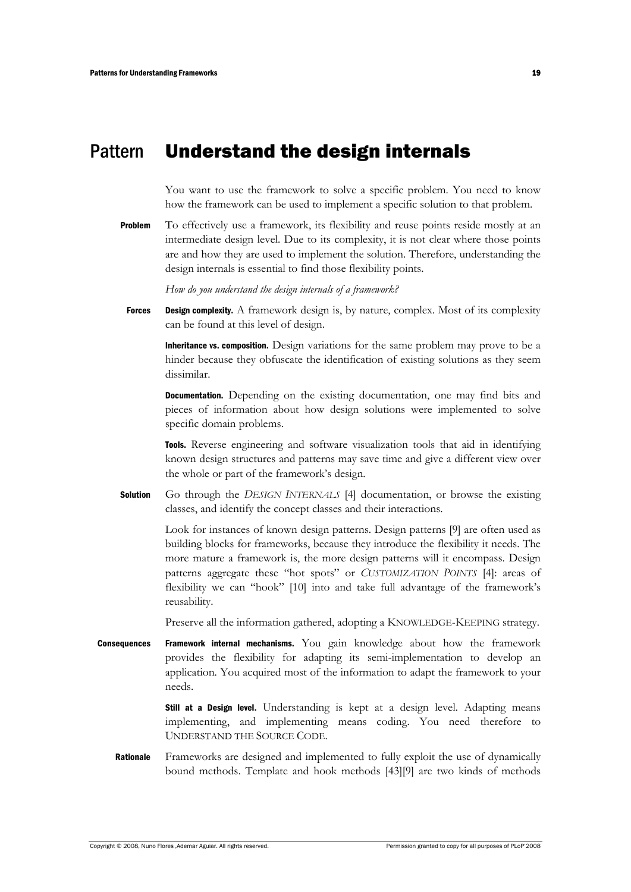You want to use the framework to solve a specific problem. You need to know how the framework can be used to implement a specific solution to that problem.

To effectively use a framework, its flexibility and reuse points reside mostly at an intermediate design level. Due to its complexity, it is not clear where those points are and how they are used to implement the solution. Therefore, understanding the design internals is essential to find those flexibility points. Problem

*How do you understand the design internals of a framework?* 

Design complexity. A framework design is, by nature, complex. Most of its complexity can be found at this level of design. Forces

Inheritance vs. composition. Design variations for the same problem may prove to be a hinder because they obfuscate the identification of existing solutions as they seem dissimilar.

Documentation. Depending on the existing documentation, one may find bits and pieces of information about how design solutions were implemented to solve specific domain problems.

Tools. Reverse engineering and software visualization tools that aid in identifying known design structures and patterns may save time and give a different view over the whole or part of the framework's design.

Go through the *DESIGN INTERNALS* [4] documentation, or browse the existing classes, and identify the concept classes and their interactions. Solution

> Look for instances of known design patterns. Design patterns [9] are often used as building blocks for frameworks, because they introduce the flexibility it needs. The more mature a framework is, the more design patterns will it encompass. Design patterns aggregate these "hot spots" or *CUSTOMIZATION POINTS* [4]: areas of flexibility we can "hook" [10] into and take full advantage of the framework's reusability.

> Preserve all the information gathered, adopting a KNOWLEDGE-KEEPING strategy.

Framework internal mechanisms. You gain knowledge about how the framework provides the flexibility for adapting its semi-implementation to develop an application. You acquired most of the information to adapt the framework to your needs. **Consequences** 

> **Still at a Design level.** Understanding is kept at a design level. Adapting means implementing, and implementing means coding. You need therefore to UNDERSTAND THE SOURCE CODE.

Frameworks are designed and implemented to fully exploit the use of dynamically bound methods. Template and hook methods [43][9] are two kinds of methods Rationale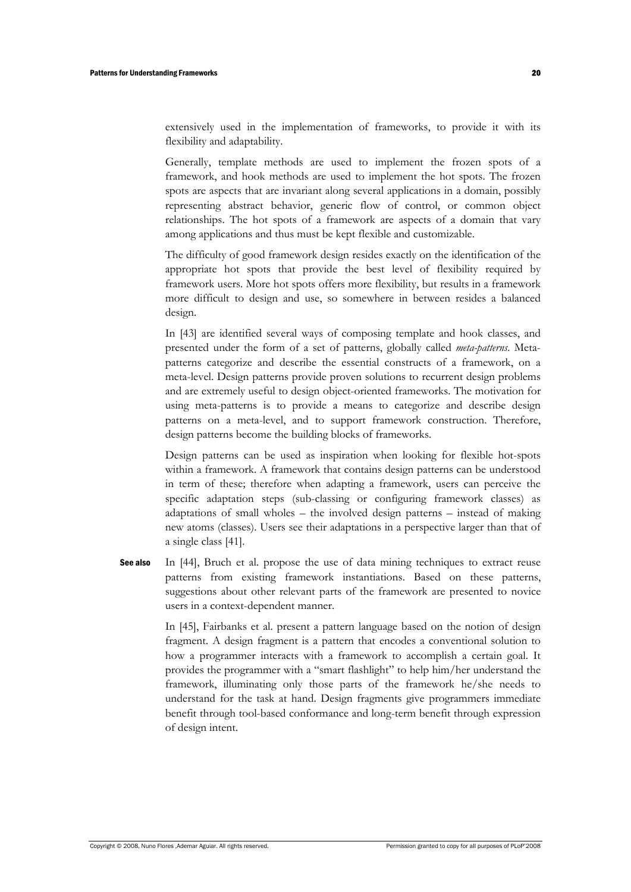extensively used in the implementation of frameworks, to provide it with its flexibility and adaptability.

Generally, template methods are used to implement the frozen spots of a framework, and hook methods are used to implement the hot spots. The frozen spots are aspects that are invariant along several applications in a domain, possibly representing abstract behavior, generic flow of control, or common object relationships. The hot spots of a framework are aspects of a domain that vary among applications and thus must be kept flexible and customizable.

The difficulty of good framework design resides exactly on the identification of the appropriate hot spots that provide the best level of flexibility required by framework users. More hot spots offers more flexibility, but results in a framework more difficult to design and use, so somewhere in between resides a balanced design.

In [43] are identified several ways of composing template and hook classes, and presented under the form of a set of patterns, globally called *meta-patterns*. Metapatterns categorize and describe the essential constructs of a framework, on a meta-level. Design patterns provide proven solutions to recurrent design problems and are extremely useful to design object-oriented frameworks. The motivation for using meta-patterns is to provide a means to categorize and describe design patterns on a meta-level, and to support framework construction. Therefore, design patterns become the building blocks of frameworks.

Design patterns can be used as inspiration when looking for flexible hot-spots within a framework. A framework that contains design patterns can be understood in term of these; therefore when adapting a framework, users can perceive the specific adaptation steps (sub-classing or configuring framework classes) as adaptations of small wholes – the involved design patterns – instead of making new atoms (classes). Users see their adaptations in a perspective larger than that of a single class [41].

In [44], Bruch et al. propose the use of data mining techniques to extract reuse patterns from existing framework instantiations. Based on these patterns, suggestions about other relevant parts of the framework are presented to novice users in a context-dependent manner. See also

> In [45], Fairbanks et al. present a pattern language based on the notion of design fragment. A design fragment is a pattern that encodes a conventional solution to how a programmer interacts with a framework to accomplish a certain goal. It provides the programmer with a "smart flashlight" to help him/her understand the framework, illuminating only those parts of the framework he/she needs to understand for the task at hand. Design fragments give programmers immediate benefit through tool-based conformance and long-term benefit through expression of design intent.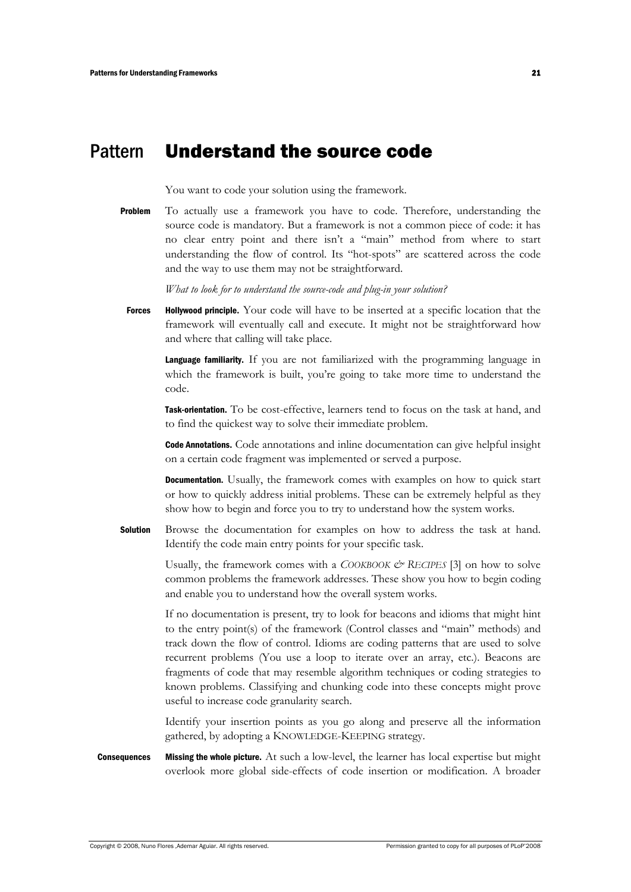#### Pattern Understand the source code

You want to code your solution using the framework.

To actually use a framework you have to code. Therefore, understanding the source code is mandatory. But a framework is not a common piece of code: it has no clear entry point and there isn't a "main" method from where to start understanding the flow of control. Its "hot-spots" are scattered across the code and the way to use them may not be straightforward. Problem

*What to look for to understand the source-code and plug-in your solution?* 

Hollywood principle. Your code will have to be inserted at a specific location that the framework will eventually call and execute. It might not be straightforward how and where that calling will take place. Forces

Language familiarity. If you are not familiarized with the programming language in which the framework is built, you're going to take more time to understand the code.

Task-orientation. To be cost-effective, learners tend to focus on the task at hand, and to find the quickest way to solve their immediate problem.

Code Annotations. Code annotations and inline documentation can give helpful insight on a certain code fragment was implemented or served a purpose.

Documentation. Usually, the framework comes with examples on how to quick start or how to quickly address initial problems. These can be extremely helpful as they show how to begin and force you to try to understand how the system works.

Browse the documentation for examples on how to address the task at hand. Identify the code main entry points for your specific task. Solution

> Usually, the framework comes with a *COOKBOOK & RECIPES* [3] on how to solve common problems the framework addresses. These show you how to begin coding and enable you to understand how the overall system works.

> If no documentation is present, try to look for beacons and idioms that might hint to the entry point(s) of the framework (Control classes and "main" methods) and track down the flow of control. Idioms are coding patterns that are used to solve recurrent problems (You use a loop to iterate over an array, etc.). Beacons are fragments of code that may resemble algorithm techniques or coding strategies to known problems. Classifying and chunking code into these concepts might prove useful to increase code granularity search.

> Identify your insertion points as you go along and preserve all the information gathered, by adopting a KNOWLEDGE-KEEPING strategy.

Missing the whole picture. At such a low-level, the learner has local expertise but might overlook more global side-effects of code insertion or modification. A broader **Consequences**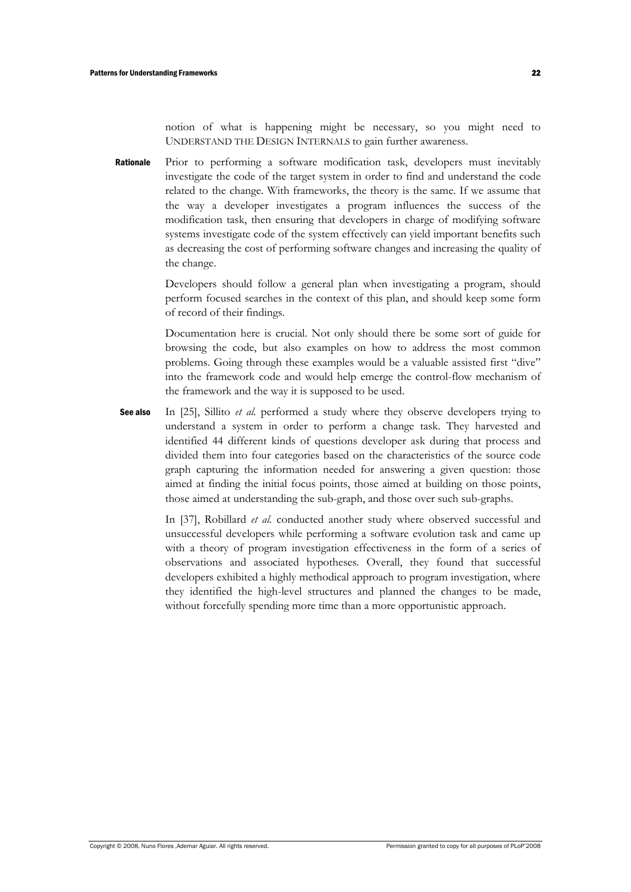notion of what is happening might be necessary, so you might need to UNDERSTAND THE DESIGN INTERNALS to gain further awareness.

Prior to performing a software modification task, developers must inevitably investigate the code of the target system in order to find and understand the code related to the change. With frameworks, the theory is the same. If we assume that the way a developer investigates a program influences the success of the modification task, then ensuring that developers in charge of modifying software systems investigate code of the system effectively can yield important benefits such as decreasing the cost of performing software changes and increasing the quality of the change. Rationale

> Developers should follow a general plan when investigating a program, should perform focused searches in the context of this plan, and should keep some form of record of their findings.

> Documentation here is crucial. Not only should there be some sort of guide for browsing the code, but also examples on how to address the most common problems. Going through these examples would be a valuable assisted first "dive" into the framework code and would help emerge the control-flow mechanism of the framework and the way it is supposed to be used.

In [25], Sillito *et al.* performed a study where they observe developers trying to understand a system in order to perform a change task. They harvested and identified 44 different kinds of questions developer ask during that process and divided them into four categories based on the characteristics of the source code graph capturing the information needed for answering a given question: those aimed at finding the initial focus points, those aimed at building on those points, those aimed at understanding the sub-graph, and those over such sub-graphs. See also

> In [37], Robillard *et al.* conducted another study where observed successful and unsuccessful developers while performing a software evolution task and came up with a theory of program investigation effectiveness in the form of a series of observations and associated hypotheses. Overall, they found that successful developers exhibited a highly methodical approach to program investigation, where they identified the high-level structures and planned the changes to be made, without forcefully spending more time than a more opportunistic approach.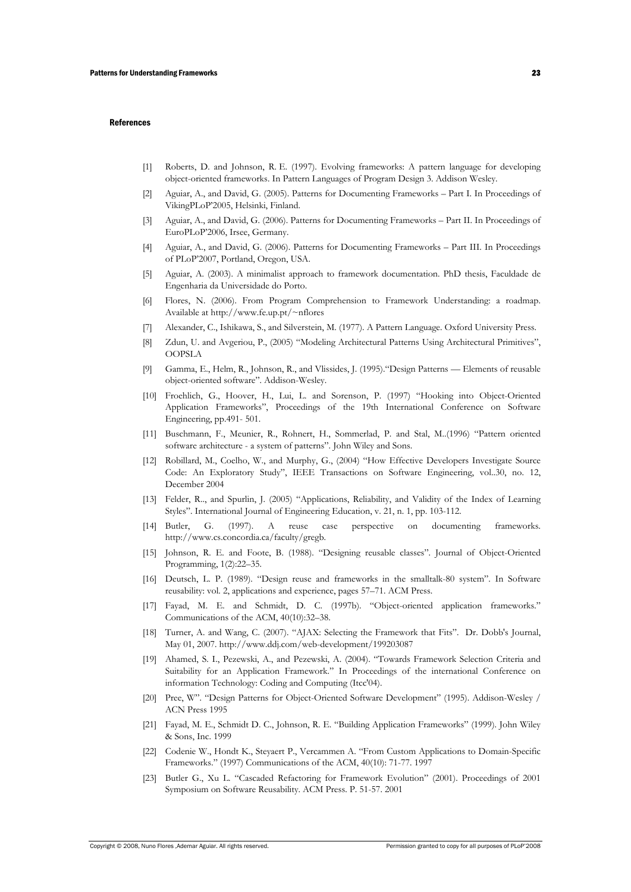#### References

- [1] Roberts, D. and Johnson, R. E. (1997). Evolving frameworks: A pattern language for developing object-oriented frameworks. In Pattern Languages of Program Design 3. Addison Wesley.
- [2] Aguiar, A., and David, G. (2005). Patterns for Documenting Frameworks Part I. In Proceedings of VikingPLoP'2005, Helsinki, Finland.
- [3] Aguiar, A., and David, G. (2006). Patterns for Documenting Frameworks Part II. In Proceedings of EuroPLoP'2006, Irsee, Germany.
- [4] Aguiar, A., and David, G. (2006). Patterns for Documenting Frameworks Part III. In Proceedings of PLoP'2007, Portland, Oregon, USA.
- [5] Aguiar, A. (2003). A minimalist approach to framework documentation. PhD thesis, Faculdade de Engenharia da Universidade do Porto.
- [6] Flores, N. (2006). From Program Comprehension to Framework Understanding: a roadmap. Available at http://www.fe.up.pt/~nflores
- [7] Alexander, C., Ishikawa, S., and Silverstein, M. (1977). A Pattern Language. Oxford University Press.
- [8] Zdun, U. and Avgeriou, P., (2005) "Modeling Architectural Patterns Using Architectural Primitives", OOPSLA
- [9] Gamma, E., Helm, R., Johnson, R., and Vlissides, J. (1995)."Design Patterns Elements of reusable object-oriented software". Addison-Wesley.
- [10] Froehlich, G., Hoover, H., Lui, L. and Sorenson, P. (1997) "Hooking into Object-Oriented Application Frameworks", Proceedings of the 19th International Conference on Software Engineering, pp.491- 501.
- [11] Buschmann, F., Meunier, R., Rohnert, H., Sommerlad, P. and Stal, M..(1996) "Pattern oriented software architecture - a system of patterns". John Wiley and Sons.
- [12] Robillard, M., Coelho, W., and Murphy, G., (2004) "How Effective Developers Investigate Source Code: An Exploratory Study", IEEE Transactions on Software Engineering, vol..30, no. 12, December 2004
- [13] Felder, R.., and Spurlin, J. (2005) "Applications, Reliability, and Validity of the Index of Learning Styles". International Journal of Engineering Education, v. 21, n. 1, pp. 103-112.
- [14] Butler, G. (1997). A reuse case perspective on documenting frameworks. http://www.cs.concordia.ca/faculty/gregb.
- [15] Johnson, R. E. and Foote, B. (1988). "Designing reusable classes". Journal of Object-Oriented Programming, 1(2):22–35.
- [16] Deutsch, L. P. (1989). "Design reuse and frameworks in the smalltalk-80 system". In Software reusability: vol. 2, applications and experience, pages 57–71. ACM Press.
- [17] Fayad, M. E. and Schmidt, D. C. (1997b). "Object-oriented application frameworks." Communications of the ACM, 40(10):32–38.
- [18] Turner, A. and Wang, C. (2007). "AJAX: Selecting the Framework that Fits". Dr. Dobb's Journal, May 01, 2007. http://www.ddj.com/web-development/199203087
- [19] Ahamed, S. I., Pezewski, A., and Pezewski, A. (2004). "Towards Framework Selection Criteria and Suitability for an Application Framework." In Proceedings of the international Conference on information Technology: Coding and Computing (Itcc'04).
- [20] Pree, W". "Design Patterns for Object-Oriented Software Development" (1995). Addison-Wesley / ACN Press 1995
- [21] Fayad, M. E., Schmidt D. C., Johnson, R. E. "Building Application Frameworks" (1999). John Wiley & Sons, Inc. 1999
- [22] Codenie W., Hondt K., Steyaert P., Vercammen A. "From Custom Applications to Domain-Specific Frameworks." (1997) Communications of the ACM, 40(10): 71-77. 1997
- [23] Butler G., Xu L. "Cascaded Refactoring for Framework Evolution" (2001). Proceedings of 2001 Symposium on Software Reusability. ACM Press. P. 51-57. 2001